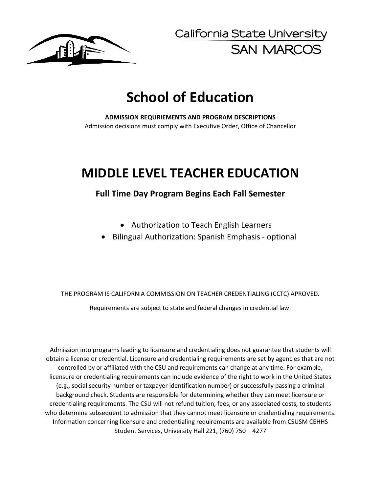

California State University **SAN MARCOS** 

# **School of Education**

**ADMISSION REQURIEMENTS AND PROGRAM DESCRIPTIONS**  Admission decisions must comply with Executive Order, Office of Chancellor

# **MIDDLE LEVEL TEACHER EDUCATION**

# **Full Time Day Program Begins Each Fall Semester**

- Authorization to Teach English Learners
- Bilingual Authorization: Spanish Emphasis optional

THE PROGRAM IS CALIFORNIA COMMISSION ON TEACHER CREDENTIALING (CCTC) APROVED. Requirements are subject to state and federal changes in credential law.

Admission into programs leading to licensure and credentialing does not guarantee that students will obtain a license or credential. Licensure and credentialing requirements are set by agencies that are not controlled by or affiliated with the CSU and requirements can change at any time. For example, licensure or credentialing requirements can include evidence of the right to work in the United States (e.g., social security number or taxpayer identification number) or successfully passing a criminal background check. Students are responsible for determining whether they can meet licensure or credentialing requirements. The CSU will not refund tuition, fees, or any associated costs, to students who determine subsequent to admission that they cannot meet licensure or credentialing requirements. Information concerning licensure and credentialing requirements are available from CSUSM CEHHS Student Services, University Hall 221, (760) 750 – 4277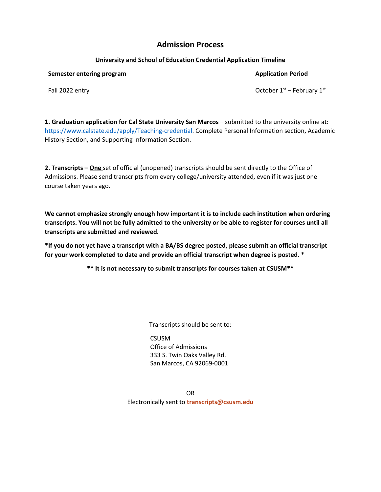# **Admission Process**

# **University and School of Education Credential Application Timeline**

# **Semester entering program Application Period Application Period Application Period**

Fall 2022 entry  $\qquad \qquad$  Fall 2022 entry  $\qquad \qquad$  October 1st – February 1st

**1. Graduation application for Cal State University San Marcos** – submitted to the university online at: [https://www.calstate.edu/apply/Teaching-credential.](https://www.calstate.edu/apply/Teaching-credential) Complete Personal Information section, Academic History Section, and Supporting Information Section.

**2. Transcripts – One** set of official (unopened) transcripts should be sent directly to the Office of Admissions. Please send transcripts from every college/university attended, even if it was just one course taken years ago.

**We cannot emphasize strongly enough how important it is to include each institution when ordering transcripts. You will not be fully admitted to the university or be able to register for courses until all transcripts are submitted and reviewed.** 

**\*If you do not yet have a transcript with a BA/BS degree posted, please submit an official transcript for your work completed to date and provide an official transcript when degree is posted. \***

**\*\* It is not necessary to submit transcripts for courses taken at CSUSM\*\***

Transcripts should be sent to:

**CSUSM** Office of Admissions 333 S. Twin Oaks Valley Rd. San Marcos, CA 92069-0001

OR Electronically sent to **[transcripts@csusm.edu](mailto:transcripts@csusm.edu)**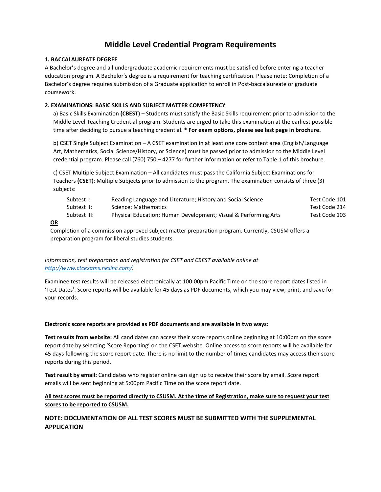# **Middle Level Credential Program Requirements**

## **1. BACCALAUREATE DEGREE**

A Bachelor's degree and all undergraduate academic requirements must be satisfied before entering a teacher education program. A Bachelor's degree is a requirement for teaching certification. Please note: Completion of a Bachelor's degree requires submission of a Graduate application to enroll in Post-baccalaureate or graduate coursework.

# **2. EXAMINATIONS: BASIC SKILLS AND SUBJECT MATTER COMPETENCY**

a) Basic Skills Examination **(CBEST)** – Students must satisfy the Basic Skills requirement prior to admission to the Middle Level Teaching Credential program. Students are urged to take this examination at the earliest possible time after deciding to pursue a teaching credential. **\* For exam options, please see last page in brochure.**

b) CSET Single Subject Examination – A CSET examination in at least one core content area (English/Language Art, Mathematics, Social Science/History, or Science) must be passed prior to admission to the Middle Level credential program. Please call (760) 750 – 4277 for further information or refer to Table 1 of this brochure.

c) CSET Multiple Subject Examination – All candidates must pass the California Subject Examinations for Teachers **(CSET**): Multiple Subjects prior to admission to the program. The examination consists of three (3) subjects:

| Subtest I:   | Reading Language and Literature; History and Social Science     | Test Code 101 |
|--------------|-----------------------------------------------------------------|---------------|
| Subtest II:  | Science: Mathematics                                            | Test Code 214 |
| Subtest III: | Physical Education; Human Development; Visual & Performing Arts | Test Code 103 |

#### **OR**

Completion of a commission approved subject matter preparation program. Currently, CSUSM offers a preparation program for liberal studies students.

# *Information, test preparation and registration for CSET and CBEST available online at [http://www.ctcexams.nesinc.com/.](http://www.ctcexams.nesinc.com/)*

Examinee test results will be released electronically at 100:00pm Pacific Time on the score report dates listed in 'Test Dates'. Score reports will be available for 45 days as PDF documents, which you may view, print, and save for your records.

#### **Electronic score reports are provided as PDF documents and are available in two ways:**

**Test results from website:** All candidates can access their score reports online beginning at 10:00pm on the score report date by selecting 'Score Reporting' on the CSET website. Online access to score reports will be available for 45 days following the score report date. There is no limit to the number of times candidates may access their score reports during this period.

**Test result by email:** Candidates who register online can sign up to receive their score by email. Score report emails will be sent beginning at 5:00pm Pacific Time on the score report date.

# **All test scores must be reported directly to CSUSM. At the time of Registration, make sure to request your test scores to be reported to CSUSM.**

# **NOTE: DOCUMENTATION OF ALL TEST SCORES MUST BE SUBMITTED WITH THE SUPPLEMENTAL APPLICATION**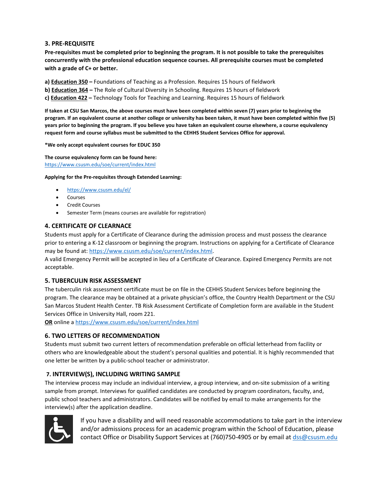# **3. PRE-REQUISITE**

**Pre-requisites must be completed prior to beginning the program. It is not possible to take the prerequisites concurrently with the professional education sequence courses. All prerequisite courses must be completed with a grade of C+ or better.** 

**a) Education 350 –** Foundations of Teaching as a Profession. Requires 15 hours of fieldwork

**b) Education 364 –** The Role of Cultural Diversity in Schooling. Requires 15 hours of fieldwork

**c) Education 422 –** Technology Tools for Teaching and Learning. Requires 15 hours of fieldwork

**If taken at CSU San Marcos, the above courses must have been completed within seven (7) years prior to beginning the program. If an equivalent course at another college or university has been taken, it must have been completed within five (5) years prior to beginning the program. If you believe you have taken an equivalent course elsewhere, a course equivalency request form and course syllabus must be submitted to the CEHHS Student Services Office for approval.** 

**\*We only accept equivalent courses for EDUC 350** 

**The course equivalency form can be found here:** <https://www.csusm.edu/soe/current/index.html>

**Applying for the Pre-requisites through Extended Learning:** 

- <https://www.csusm.edu/el/>
- Courses
- Credit Courses
- Semester Term (means courses are available for registration)

# **4. CERTIFICATE OF CLEARNACE**

Students must apply for a Certificate of Clearance during the admission process and must possess the clearance prior to entering a K-12 classroom or beginning the program. Instructions on applying for a Certificate of Clearance may be found at[: https://www.csusm.edu/soe/current/index.html.](https://www.csusm.edu/soe/current/index.html)

A valid Emergency Permit will be accepted in lieu of a Certificate of Clearance. Expired Emergency Permits are not acceptable.

# **5. TUBERCULIN RISK ASSESSMENT**

The tuberculin risk assessment certificate must be on file in the CEHHS Student Services before beginning the program. The clearance may be obtained at a private physician's office, the Country Health Department or the CSU San Marcos Student Health Center. TB Risk Assessment Certificate of Completion form are available in the Student Services Office in University Hall, room 221.

**OR** online [a https://www.csusm.edu/soe/current/index.html](https://www.csusm.edu/soe/current/index.html) 

# **6. TWO LETTERS OF RECOMMENDATION**

Students must submit two current letters of recommendation preferable on official letterhead from facility or others who are knowledgeable about the student's personal qualities and potential. It is highly recommended that one letter be written by a public-school teacher or administrator.

# **7. INTERVIEW(S), INCLUDING WRITING SAMPLE**

The interview process may include an individual interview, a group interview, and on-site submission of a writing sample from prompt. Interviews for qualified candidates are conducted by program coordinators, faculty, and, public school teachers and administrators. Candidates will be notified by email to make arrangements for the interview(s) after the application deadline.



If you have a disability and will need reasonable accommodations to take part in the interview and/or admissions process for an academic program within the School of Education, please contact Office or Disability Support Services at (760)750-4905 or by email a[t dss@csusm.edu](mailto:dss@csusm.edu)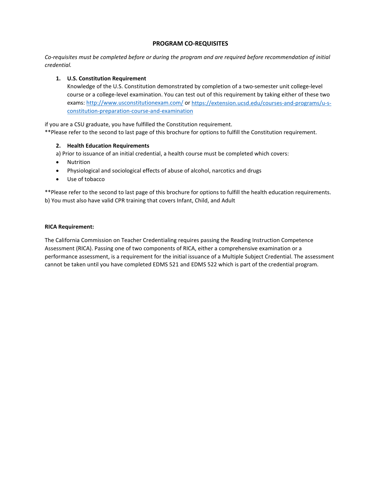# **PROGRAM CO-REQUISITES**

*Co-requisites must be completed before or during the program and are required before recommendation of initial credential.*

# **1. U.S. Constitution Requirement**

Knowledge of the U.S. Constitution demonstrated by completion of a two-semester unit college-level course or a college-level examination. You can test out of this requirement by taking either of these two exams:<http://www.usconstitutionexam.com/> or [https://extension.ucsd.edu/courses-and-programs/u-s](https://extension.ucsd.edu/courses-and-programs/u-s-constitution-preparation-course-and-examination)[constitution-preparation-course-and-examination](https://extension.ucsd.edu/courses-and-programs/u-s-constitution-preparation-course-and-examination)

if you are a CSU graduate, you have fulfilled the Constitution requirement. \*\*Please refer to the second to last page of this brochure for options to fulfill the Constitution requirement.

# **2. Health Education Requirements**

a) Prior to issuance of an initial credential, a health course must be completed which covers:

- Nutrition
- Physiological and sociological effects of abuse of alcohol, narcotics and drugs
- Use of tobacco

\*\*Please refer to the second to last page of this brochure for options to fulfill the health education requirements. b) You must also have valid CPR training that covers Infant, Child, and Adult

# **RICA Requirement:**

The California Commission on Teacher Credentialing requires passing the Reading Instruction Competence Assessment (RICA). Passing one of two components of RICA, either a comprehensive examination or a performance assessment, is a requirement for the initial issuance of a Multiple Subject Credential. The assessment cannot be taken until you have completed EDMS 521 and EDMS 522 which is part of the credential program.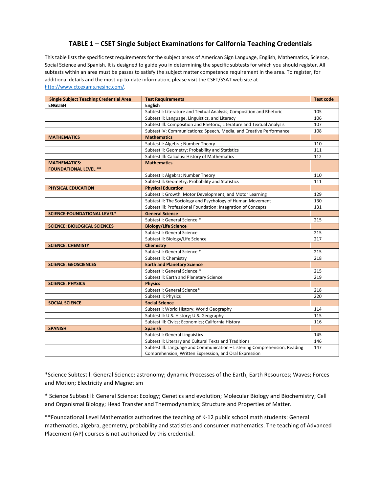# **TABLE 1 – CSET Single Subject Examinations for California Teaching Credentials**

This table lists the specific test requirements for the subject areas of American Sign Language, English, Mathematics, Science, Social Science and Spanish. It is designed to guide you in determining the specific subtests for which you should register. All subtests within an area must be passes to satisfy the subject matter competence requirement in the area. To register, for additional details and the most up-to-date information, please visit the CSET/SSAT web site at [http://www.ctcexams.nesinc.com/.](http://www.ctcexams.nesinc.com/)

| <b>Single Subject Teaching Credential Area</b> | <b>Test Requirements</b>                                                   | <b>Test code</b> |
|------------------------------------------------|----------------------------------------------------------------------------|------------------|
| <b>ENGLISH</b>                                 | <b>English</b>                                                             |                  |
|                                                | Subtest I: Literature and Textual Analysis; Composition and Rhetoric       | 105              |
|                                                | Subtest II: Language, Linguistics, and Literacy                            | 106              |
|                                                | Subtest III: Composition and Rhetoric; Literature and Textual Analysis     | 107              |
|                                                | Subtest IV: Communications: Speech, Media, and Creative Performance        | 108              |
| <b>MATHEMATICS</b>                             | <b>Mathematics</b>                                                         |                  |
|                                                | Subtest I: Algebra; Number Theory                                          | 110              |
|                                                | Subtest II: Geometry; Probability and Statistics                           | 111              |
|                                                | Subtest III: Calculus: History of Mathematics                              | 112              |
| <b>MATHEMATICS:</b>                            | <b>Mathematics</b>                                                         |                  |
| <b>FOUNDATIONAL LEVEL **</b>                   |                                                                            |                  |
|                                                | Subtest I: Algebra; Number Theory                                          | 110              |
|                                                | Subtest II: Geometry; Probability and Statistics                           | 111              |
| PHYSICAL EDUCATION                             | <b>Physical Education</b>                                                  |                  |
|                                                | Subtest I: Growth. Motor Development, and Motor Learning                   | 129              |
|                                                | Subtest II: The Sociology and Psychology of Human Movement                 | 130              |
|                                                | Subtest III: Professional Foundation: Integration of Concepts              | 131              |
| <b>SCIENCE-FOUNDATIONAL LEVEL*</b>             | <b>General Science</b>                                                     |                  |
|                                                | Subtest I: General Science *                                               | 215              |
| <b>SCIENCE: BIOLOGICAL SCIENCES</b>            | <b>Biology/Life Science</b>                                                |                  |
|                                                | Subtest I: General Science                                                 | 215              |
|                                                | Subtest II: Biology/Life Science                                           | 217              |
| <b>SCIENCE: CHEMISTY</b>                       | <b>Chemistry</b>                                                           |                  |
|                                                | Subtest I: General Science *                                               | 215              |
|                                                | Subtest II: Chemistry                                                      | 218              |
| <b>SCIENCE: GEOSCIENCES</b>                    | <b>Earth and Planetary Science</b>                                         |                  |
|                                                | Subtest I: General Science *                                               | 215              |
|                                                | Subtest II: Earth and Planetary Science                                    | 219              |
| <b>SCIENCE: PHYSICS</b>                        | <b>Physics</b>                                                             |                  |
|                                                | Subtest I: General Science*                                                | 218              |
|                                                | Subtest II: Physics                                                        | 220              |
| <b>SOCIAL SCIENCE</b>                          | <b>Social Science</b>                                                      |                  |
|                                                | Subtest I: World History; World Geography                                  | 114              |
|                                                | Subtest II: U.S. History; U.S. Geography                                   | 115              |
|                                                | Subtest III: Civics; Economics; California History                         | 116              |
| <b>SPANISH</b>                                 | <b>Spanish</b>                                                             |                  |
|                                                | Subtest I: General Linguistics                                             | 145              |
|                                                | Subtest II: Literary and Cultural Texts and Traditions                     | 146              |
|                                                | Subtest III: Language and Communication - Listening Comprehension, Reading | 147              |
|                                                | Comprehension, Written Expression, and Oral Expression                     |                  |

\*Science Subtest l: General Science: astronomy; dynamic Processes of the Earth; Earth Resources; Waves; Forces and Motion; Electricity and Magnetism

\* Science Subtest ll: General Science: Ecology; Genetics and evolution; Molecular Biology and Biochemistry; Cell and Organismal Biology; Head Transfer and Thermodynamics; Structure and Properties of Matter.

\*\*Foundational Level Mathematics authorizes the teaching of K-12 public school math students: General mathematics, algebra, geometry, probability and statistics and consumer mathematics. The teaching of Advanced Placement (AP) courses is not authorized by this credential.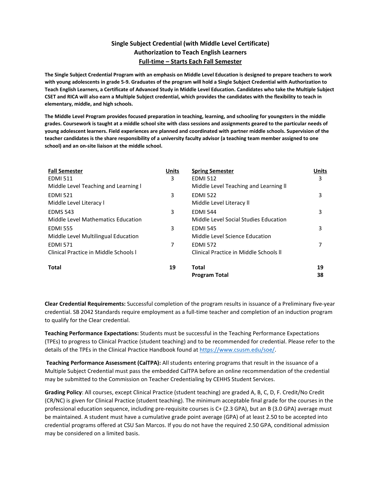# **Single Subject Credential (with Middle Level Certificate) Authorization to Teach English Learners Full-time – Starts Each Fall Semester**

**The Single Subject Credential Program with an emphasis on Middle Level Education is designed to prepare teachers to work with young adolescents in grade 5-9. Graduates of the program will hold a Single Subject Credential with Authorization to Teach English Learners, a Certificate of Advanced Study in Middle Level Education. Candidates who take the Multiple Subject CSET and RICA will also earn a Multiple Subject credential, which provides the candidates with the flexibility to teach in elementary, middle, and high schools.** 

**The Middle Level Program provides focused preparation in teaching, learning, and schooling for youngsters in the middle grades. Coursework is taught at a middle school site with class sessions and assignments geared to the particular needs of young adolescent learners. Field experiences are planned and coordinated with partner middle schools. Supervision of the teacher candidates is the share responsibility of a university faculty advisor (a teaching team member assigned to one school) and an on-site liaison at the middle school.** 

| <b>Fall Semester</b>                  | Units | <b>Spring Semester</b>                 | <b>Units</b> |
|---------------------------------------|-------|----------------------------------------|--------------|
| <b>EDMI 511</b>                       | 3     | <b>EDMI 512</b>                        | 3            |
| Middle Level Teaching and Learning I  |       | Middle Level Teaching and Learning II  |              |
| <b>EDMI 521</b>                       | 3     | <b>EDMI 522</b>                        | 3            |
| Middle Level Literacy I               |       | Middle Level Literacy II               |              |
| <b>EDMS 543</b>                       | 3     | <b>EDMI 544</b>                        | 3            |
| Middle Level Mathematics Education    |       | Middle Level Social Studies Education  |              |
| <b>EDMI 555</b>                       | 3     | <b>EDMI 545</b>                        | 3            |
| Middle Level Multilingual Education   |       | Middle Level Science Education         |              |
| <b>EDMI 571</b>                       | 7     | <b>EDMI 572</b>                        | 7            |
| Clinical Practice in Middle Schools I |       | Clinical Practice in Middle Schools II |              |
| Total                                 | 19    | Total                                  | 19           |
|                                       |       | <b>Program Total</b>                   | 38           |

**Clear Credential Requirements:** Successful completion of the program results in issuance of a Preliminary five-year credential. SB 2042 Standards require employment as a full-time teacher and completion of an induction program to qualify for the Clear credential.

**Teaching Performance Expectations:** Students must be successful in the Teaching Performance Expectations (TPEs) to progress to Clinical Practice (student teaching) and to be recommended for credential. Please refer to the details of the TPEs in the Clinical Practice Handbook found at [https://www.csusm.edu/soe/.](https://www.csusm.edu/soe/)

**Teaching Performance Assessment (CalTPA):** All students entering programs that result in the issuance of a Multiple Subject Credential must pass the embedded CalTPA before an online recommendation of the credential may be submitted to the Commission on Teacher Credentialing by CEHHS Student Services.

**Grading Policy**: All courses, except Clinical Practice (student teaching) are graded A, B, C, D, F. Credit/No Credit (CR/NC) is given for Clinical Practice (student teaching). The minimum acceptable final grade for the courses in the professional education sequence, including pre-requisite courses is C+ (2.3 GPA), but an B (3.0 GPA) average must be maintained. A student must have a cumulative grade point average (GPA) of at least 2.50 to be accepted into credential programs offered at CSU San Marcos. If you do not have the required 2.50 GPA, conditional admission may be considered on a limited basis.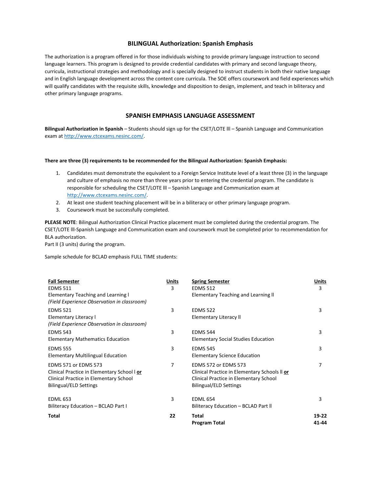#### **BILINGUAL Authorization: Spanish Emphasis**

The authorization is a program offered in for those individuals wishing to provide primary language instruction to second language learners. This program is designed to provide credential candidates with primary and second language theory, curricula, instructional strategies and methodology and is specially designed to instruct students in both their native language and in English language development across the content core curricula. The SOE offers coursework and field experiences which will qualify candidates with the requisite skills, knowledge and disposition to design, implement, and teach in biliteracy and other primary language programs.

### **SPANISH EMPHASIS LANGUAGE ASSESSMENT**

**Bilingual Authorization in Spanish** – Students should sign up for the CSET/LOTE lll – Spanish Language and Communication exam a[t http://www.ctcexams.nesinc.com/.](http://www.ctcexams.nesinc.com/)

#### **There are three (3) requirements to be recommended for the Bilingual Authorization: Spanish Emphasis:**

- 1. Candidates must demonstrate the equivalent to a Foreign Service Institute level of a least three (3) in the language and culture of emphasis no more than three years prior to entering the credential program. The candidate is responsible for scheduling the CSET/LOTE lll – Spanish Language and Communication exam at [http://www.ctcexams.nesinc.com/.](http://www.ctcexams.nesinc.com/)
- 2. At least one student teaching placement will be in a biliteracy or other primary language program.
- 3. Coursework must be successfully completed.

**PLEASE NOTE**: Bilingual Authorization Clinical Practice placement must be completed during the credential program. The CSET/LOTE lll-Spanish Language and Communication exam and coursework must be completed prior to recommendation for BLA authorization.

Part II (3 units) during the program.

Sample schedule for BCLAD emphasis FULL TIME students:

| <b>Fall Semester</b><br><b>EDMS 511</b>                                                                                                               | <b>Units</b><br>3 | <b>Spring Semester</b><br><b>EDMS 512</b>                                                                                                        | Units<br>3       |
|-------------------------------------------------------------------------------------------------------------------------------------------------------|-------------------|--------------------------------------------------------------------------------------------------------------------------------------------------|------------------|
| <b>Elementary Teaching and Learning I</b><br>(Field Experience Observation in classroom)                                                              |                   | Elementary Teaching and Learning II                                                                                                              |                  |
| <b>EDMS 521</b><br>Elementary Literacy I<br>(Field Experience Observation in classroom)                                                               | 3                 | <b>EDMS 522</b><br><b>Elementary Literacy II</b>                                                                                                 | 3                |
| <b>EDMS 543</b><br><b>Elementary Mathematics Education</b>                                                                                            | 3                 | <b>EDMS 544</b><br><b>Elementary Social Studies Education</b>                                                                                    | 3                |
| <b>EDMS 555</b><br><b>Elementary Multilingual Education</b>                                                                                           | 3                 | <b>EDMS 545</b><br>Elementary Science Education                                                                                                  | 3                |
| <b>EDMS 571 or EDMS 573</b><br>Clinical Practice in Elementary School I or<br>Clinical Practice in Elementary School<br><b>Bilingual/ELD Settings</b> | 7                 | EDMS 572 or EDMS 573<br>Clinical Practice in Elementary Schools II or<br>Clinical Practice in Elementary School<br><b>Bilingual/ELD Settings</b> | 7                |
| <b>EDML 653</b><br>Biliteracy Education - BCLAD Part I                                                                                                | 3                 | <b>EDML 654</b><br>Biliteracy Education - BCLAD Part II                                                                                          | 3                |
| <b>Total</b>                                                                                                                                          | 22                | <b>Total</b><br><b>Program Total</b>                                                                                                             | $19-22$<br>41-44 |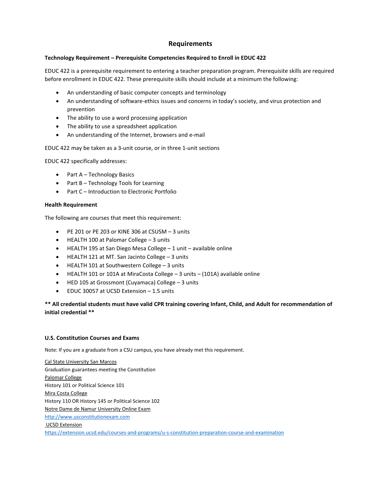# **Requirements**

# **Technology Requirement – Prerequisite Competencies Required to Enroll in EDUC 422**

EDUC 422 is a prerequisite requirement to entering a teacher preparation program. Prerequisite skills are required before enrollment in EDUC 422. These prerequisite skills should include at a minimum the following:

- An understanding of basic computer concepts and terminology
- An understanding of software-ethics issues and concerns in today's society, and virus protection and prevention
- The ability to use a word processing application
- The ability to use a spreadsheet application
- An understanding of the Internet, browsers and e-mail

EDUC 422 may be taken as a 3-unit course, or in three 1-unit sections

EDUC 422 specifically addresses:

- Part A Technology Basics
- Part B Technology Tools for Learning
- Part C Introduction to Electronic Portfolio

## **Health Requirement**

The following are courses that meet this requirement:

- PE 201 or PE 203 or KINE 306 at CSUSM 3 units
- HEALTH 100 at Palomar College 3 units
- HEALTH 195 at San Diego Mesa College 1 unit available online
- HEALTH 121 at MT. San Jacinto College 3 units
- HEALTH 101 at Southwestern College 3 units
- HEALTH 101 or 101A at MiraCosta College 3 units (101A) available online
- HED 105 at Grossmont (Cuyamaca) College 3 units
- EDUC 30057 at UCSD Extension 1.5 units

# **\*\* All credential students must have valid CPR training covering Infant, Child, and Adult for recommendation of initial credential \*\***

# **U.S. Constitution Courses and Exams**

Note: If you are a graduate from a CSU campus, you have already met this requirement.

Cal State University San Marcos Graduation guarantees meeting the Constitution Palomar College History 101 or Political Science 101 Mira Costa College History 110 OR History 145 or Political Science 102 Notre Dame de Namur University Online Exam [http://www.usconstitutionexam.com](http://www.usconstitutionexam.com/) UCSD Extension <https://extension.ucsd.edu/courses-and-programs/u-s-constitution-preparation-course-and-examination>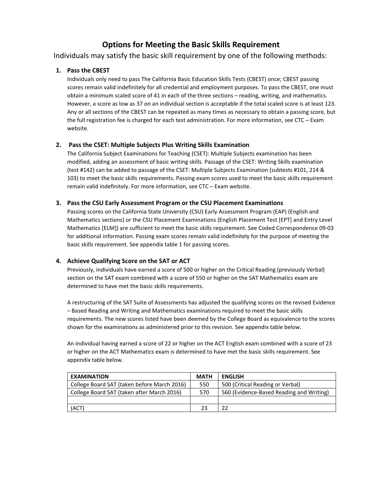# **Options for Meeting the Basic Skills Requirement**

Individuals may satisfy the basic skill requirement by one of the following methods:

# **1. Pass the CBEST**

Individuals only need to pass The California Basic Education Skills Tests (CBEST) once; CBEST passing scores remain valid indefinitely for all credential and employment purposes. To pass the CBEST, one must obtain a minimum scaled score of 41 in each of the three sections – reading, writing, and mathematics. However, a score as low as 37 on an individual section is acceptable if the total scaled score is at least 123. Any or all sections of the CBEST can be repeated as many times as necessary to obtain a passing score, but the full registration fee is charged for each test administration. For more information, see CTC – Exam website.

# **2. Pass the CSET: Multiple Subjects Plus Writing Skills Examination**

The California Subject Examinations for Teaching (CSET): Multiple Subjects examination has been modified, adding an assessment of basic writing skills. Passage of the CSET: Writing Skills examination (test #142) can be added to passage of the CSET: Multiple Subjects Examination (subtests #101, 214 & 103) to meet the basic skills requirements. Passing exam scores used to meet the basic skills requirement remain valid indefinitely. For more information, see CTC – Exam website.

# **3. Pass the CSU Early Assessment Program or the CSU Placement Examinations**

Passing scores on the California State University (CSU) Early Assessment Program (EAP) (English and Mathematics sections) or the CSU Placement Examinations (English Placement Test [EPT] and Entry Level Mathematics [ELM]) are sufficient to meet the basic skills requirement. See Coded Correspondence 09-03 for additional information. Passing exam scores remain valid indefinitely for the purpose of meeting the basic skills requirement. See appendix table 1 for passing scores.

# **4. Achieve Qualifying Score on the SAT or ACT**

Previously, individuals have earned a score of 500 or higher on the Critical Reading (previously Verbal) section on the SAT exam combined with a score of 550 or higher on the SAT Mathematics exam are determined to have met the basic skills requirements.

A restructuring of the SAT Suite of Assessments has adjusted the qualifying scores on the revised Evidence – Based Reading and Writing and Mathematics examinations required to meet the basic skills requirements. The new scores listed have been deemed by the College Board as equivalence to the scores shown for the examinations as administered prior to this revision. See appendix table below.

An individual having earned a score of 22 or higher on the ACT English exam combined with a score of 23 or higher on the ACT Mathematics exam is determined to have met the basic skills requirement. See appendix table below.

| <b>EXAMINATION</b>                          | <b>MATH</b> | <b>ENGLISH</b>                           |
|---------------------------------------------|-------------|------------------------------------------|
| College Board SAT (taken before March 2016) | 550         | 500 (Critical Reading or Verbal)         |
| College Board SAT (taken after March 2016)  | 570         | 560 (Evidence-Based Reading and Writing) |
|                                             |             |                                          |
| (ACT)                                       | 23          | 22                                       |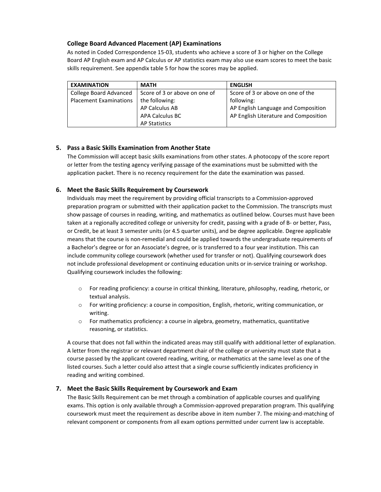# **College Board Advanced Placement (AP) Examinations**

As noted in Coded Correspondence 15-03, students who achieve a score of 3 or higher on the College Board AP English exam and AP Calculus or AP statistics exam may also use exam scores to meet the basic skills requirement. See appendix table 5 for how the scores may be applied.

| <b>EXAMINATION</b>            | <b>MATH</b>                   | <b>ENGLISH</b>                        |
|-------------------------------|-------------------------------|---------------------------------------|
| College Board Advanced        | Score of 3 or above on one of | Score of 3 or above on one of the     |
| <b>Placement Examinations</b> | the following:                | following:                            |
|                               | AP Calculus AB                | AP English Language and Composition   |
|                               | <b>APA Calculus BC</b>        | AP English Literature and Composition |
|                               | <b>AP Statistics</b>          |                                       |

# **5. Pass a Basic Skills Examination from Another State**

The Commission will accept basic skills examinations from other states. A photocopy of the score report or letter from the testing agency verifying passage of the examinations must be submitted with the application packet. There is no recency requirement for the date the examination was passed.

# **6. Meet the Basic Skills Requirement by Coursework**

Individuals may meet the requirement by providing official transcripts to a Commission-approved preparation program or submitted with their application packet to the Commission. The transcripts must show passage of courses in reading, writing, and mathematics as outlined below. Courses must have been taken at a regionally accredited college or university for credit, passing with a grade of B- or better, Pass, or Credit, be at least 3 semester units (or 4.5 quarter units), and be degree applicable. Degree applicable means that the course is non-remedial and could be applied towards the undergraduate requirements of a Bachelor's degree or for an Associate's degree, or is transferred to a four year institution. This can include community college coursework (whether used for transfer or not). Qualifying coursework does not include professional development or continuing education units or in-service training or workshop. Qualifying coursework includes the following:

- o For reading proficiency: a course in critical thinking, literature, philosophy, reading, rhetoric, or textual analysis.
- o For writing proficiency: a course in composition, English, rhetoric, writing communication, or writing.
- o For mathematics proficiency: a course in algebra, geometry, mathematics, quantitative reasoning, or statistics.

A course that does not fall within the indicated areas may still qualify with additional letter of explanation. A letter from the registrar or relevant department chair of the college or university must state that a course passed by the applicant covered reading, writing, or mathematics at the same level as one of the listed courses. Such a letter could also attest that a single course sufficiently indicates proficiency in reading and writing combined.

# **7. Meet the Basic Skills Requirement by Coursework and Exam**

The Basic Skills Requirement can be met through a combination of applicable courses and qualifying exams. This option is only available through a Commission-approved preparation program. This qualifying coursework must meet the requirement as describe above in item number 7. The mixing-and-matching of relevant component or components from all exam options permitted under current law is acceptable.